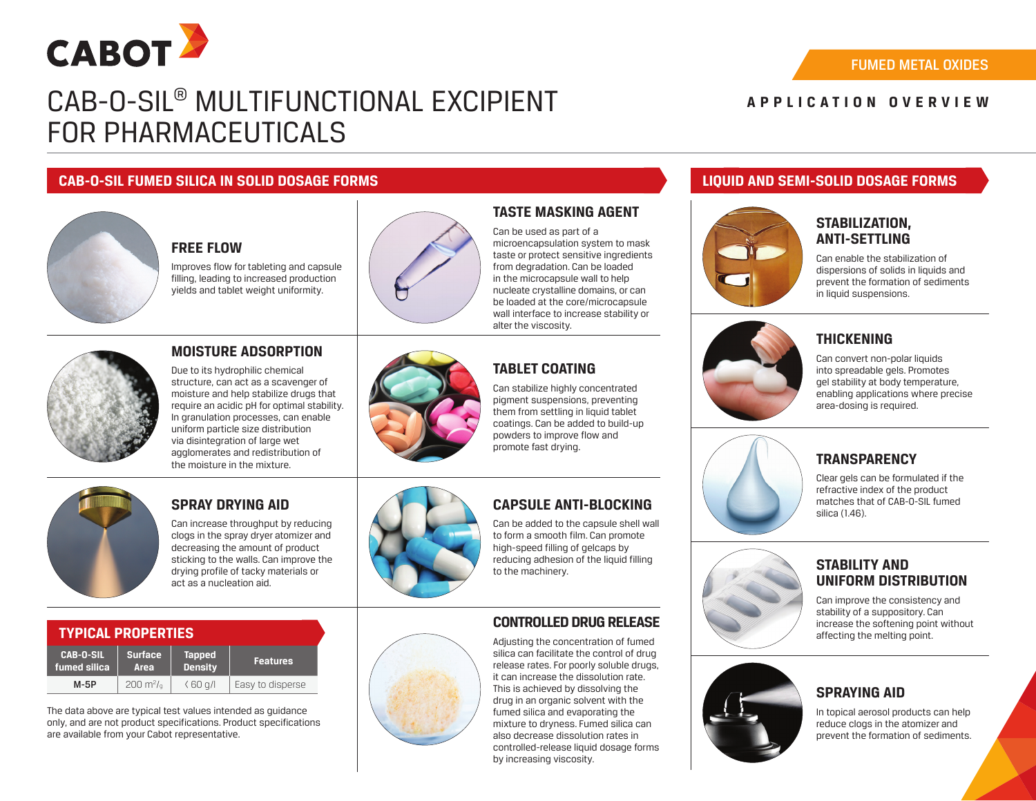

# CAB-O-SIL® MULTIFUNCTIONAL EXCIPIENT FOR PHARMACEUTICALS

### FUMED METAL OXIDES

## **APPLICATION OVERVIEW**

### **CAB-O-SIL FUMED SILICA IN SOLID DOSAGE FORMS LIQUID AND SEMI-SOLID DOSAGE FORMS**



## **FREE FLOW**

Improves flow for tableting and capsule filling, leading to increased production yields and tablet weight uniformity.

**MOISTURE ADSORPTION** Due to its hydrophilic chemical structure, can act as a scavenger of moisture and help stabilize drugs that



## **TASTE MASKING AGENT**

Can be used as part of a microencapsulation system to mask taste or protect sensitive ingredients from degradation. Can be loaded in the microcapsule wall to help nucleate crystalline domains, or can be loaded at the core/microcapsule wall interface to increase stability or alter the viscosity.

## **TABLET COATING**

Can stabilize highly concentrated pigment suspensions, preventing them from settling in liquid tablet coatings. Can be added to build-up powders to improve flow and promote fast drying.

#### require an acidic pH for optimal stability. In granulation processes, can enable uniform particle size distribution via disintegration of large wet agglomerates and redistribution of the moisture in the mixture.

## **SPRAY DRYING AID**

Can increase throughput by reducing clogs in the spray dryer atomizer and decreasing the amount of product sticking to the walls. Can improve the drying profile of tacky materials or act as a nucleation aid.



## **CAPSULE ANTI-BLOCKING**

Can be added to the capsule shell wall to form a smooth film. Can promote high-speed filling of gelcaps by reducing adhesion of the liquid filling to the machinery.

## **CONTROLLED DRUG RELEASE**

Adjusting the concentration of fumed silica can facilitate the control of drug release rates. For poorly soluble drugs, it can increase the dissolution rate. This is achieved by dissolving the drug in an organic solvent with the fumed silica and evaporating the mixture to dryness. Fumed silica can also decrease dissolution rates in controlled-release liquid dosage forms by increasing viscosity.



## **STABILIZATION, ANTI-SETTLING**

Can enable the stabilization of dispersions of solids in liquids and prevent the formation of sediments in liquid suspensions.



## **THICKENING**

Can convert non-polar liquids into spreadable gels. Promotes gel stability at body temperature, enabling applications where precise area-dosing is required.



## **TRANSPARENCY**

Clear gels can be formulated if the refractive index of the product matches that of CAB-O-SIL fumed silica (1.46).

## **STABILITY AND UNIFORM DISTRIBUTION**

Can improve the consistency and stability of a suppository. Can increase the softening point without affecting the melting point.



## **SPRAYING AID**

In topical aerosol products can help reduce clogs in the atomizer and prevent the formation of sediments.

## **TYPICAL PROPERTIES**

| <b>CAB-O-SIL</b> | <b>Surface</b>             | <b>Tapped</b>  | <b>Features</b>  |
|------------------|----------------------------|----------------|------------------|
| fumed silica     | Area                       | <b>Density</b> |                  |
| $M-5P$           | $200 \text{ m}^2/\text{s}$ | (60q)          | Easy to disperse |

The data above are typical test values intended as guidance only, and are not product specifications. Product specifications are available from your Cabot representative.